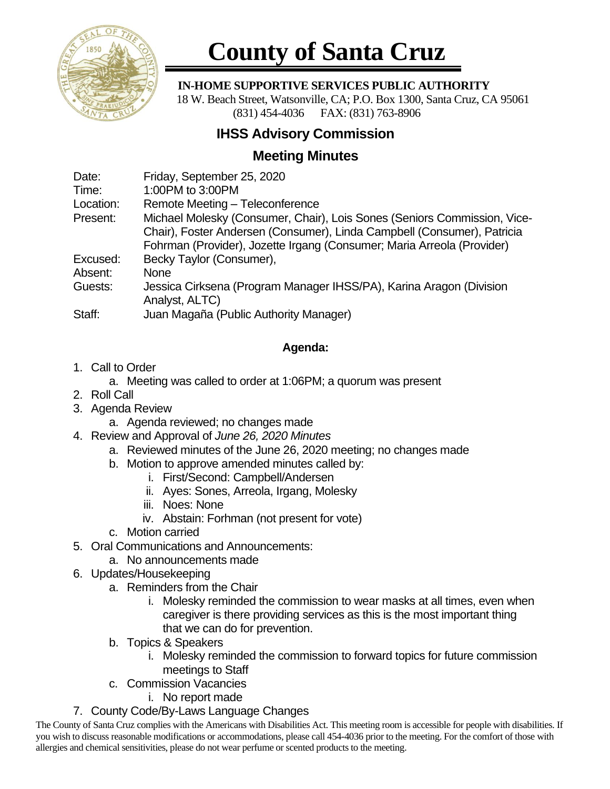

# **County of Santa Cruz**

#### **IN-HOME SUPPORTIVE SERVICES PUBLIC AUTHORITY**

 18 W. Beach Street, Watsonville, CA; P.O. Box 1300, Santa Cruz, CA 95061 (831) 454-4036 FAX: (831) 763-8906

## **IHSS Advisory Commission**

## **Meeting Minutes**

| Date:     | Friday, September 25, 2020                                               |
|-----------|--------------------------------------------------------------------------|
| Time:     | 1:00PM to 3:00PM                                                         |
| Location: | Remote Meeting - Teleconference                                          |
| Present:  | Michael Molesky (Consumer, Chair), Lois Sones (Seniors Commission, Vice- |
|           | Chair), Foster Andersen (Consumer), Linda Campbell (Consumer), Patricia  |
|           | Fohrman (Provider), Jozette Irgang (Consumer; Maria Arreola (Provider)   |
| Excused:  | Becky Taylor (Consumer),                                                 |
| Absent:   | <b>None</b>                                                              |
| Guests:   | Jessica Cirksena (Program Manager IHSS/PA), Karina Aragon (Division      |
|           | Analyst, ALTC)                                                           |
| Staff:    | Juan Magaña (Public Authority Manager)                                   |

### **Agenda:**

1. Call to Order

a. Meeting was called to order at 1:06PM; a quorum was present

- 2. Roll Call
- 3. Agenda Review
	- a. Agenda reviewed; no changes made
- 4. Review and Approval of *June 26, 2020 Minutes*
	- a. Reviewed minutes of the June 26, 2020 meeting; no changes made
	- b. Motion to approve amended minutes called by:
		- i. First/Second: Campbell/Andersen
		- ii. Ayes: Sones, Arreola, Irgang, Molesky
		- iii. Noes: None
		- iv. Abstain: Forhman (not present for vote)
	- c. Motion carried
- 5. Oral Communications and Announcements:
	- a. No announcements made
- 6. Updates/Housekeeping
	- a. Reminders from the Chair
		- i. Molesky reminded the commission to wear masks at all times, even when caregiver is there providing services as this is the most important thing that we can do for prevention.
	- b. Topics & Speakers
		- i. Molesky reminded the commission to forward topics for future commission meetings to Staff
	- c. Commission Vacancies
		- i. No report made
- 7. County Code/By-Laws Language Changes

The County of Santa Cruz complies with the Americans with Disabilities Act. This meeting room is accessible for people with disabilities. If you wish to discuss reasonable modifications or accommodations, please call 454-4036 prior to the meeting. For the comfort of those with allergies and chemical sensitivities, please do not wear perfume or scented products to the meeting.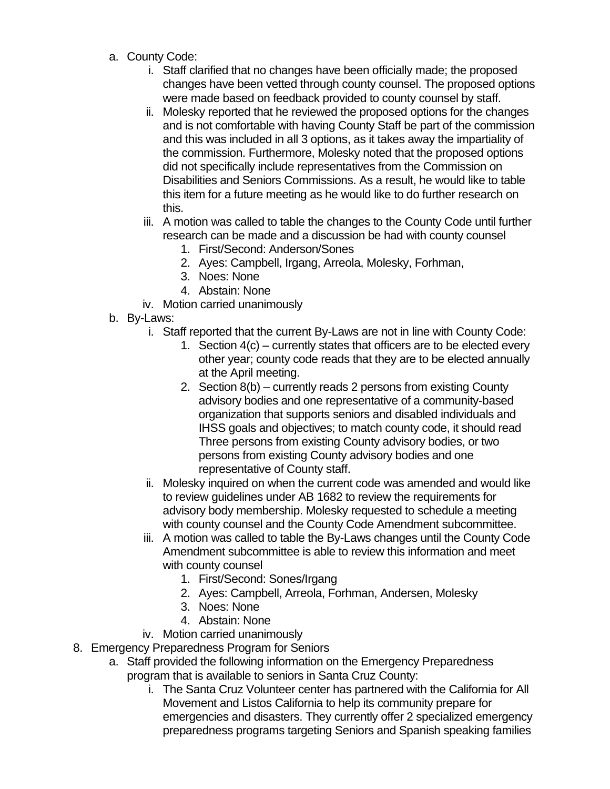- a. County Code:
	- i. Staff clarified that no changes have been officially made; the proposed changes have been vetted through county counsel. The proposed options were made based on feedback provided to county counsel by staff.
	- ii. Molesky reported that he reviewed the proposed options for the changes and is not comfortable with having County Staff be part of the commission and this was included in all 3 options, as it takes away the impartiality of the commission. Furthermore, Molesky noted that the proposed options did not specifically include representatives from the Commission on Disabilities and Seniors Commissions. As a result, he would like to table this item for a future meeting as he would like to do further research on this.
	- iii. A motion was called to table the changes to the County Code until further research can be made and a discussion be had with county counsel
		- 1. First/Second: Anderson/Sones
		- 2. Ayes: Campbell, Irgang, Arreola, Molesky, Forhman,
		- 3. Noes: None
		- 4. Abstain: None
	- iv. Motion carried unanimously
- b. By-Laws:
	- i. Staff reported that the current By-Laws are not in line with County Code:
		- 1. Section 4(c) currently states that officers are to be elected every other year; county code reads that they are to be elected annually at the April meeting.
		- 2. Section 8(b) currently reads 2 persons from existing County advisory bodies and one representative of a community-based organization that supports seniors and disabled individuals and IHSS goals and objectives; to match county code, it should read Three persons from existing County advisory bodies, or two persons from existing County advisory bodies and one representative of County staff.
	- ii. Molesky inquired on when the current code was amended and would like to review guidelines under AB 1682 to review the requirements for advisory body membership. Molesky requested to schedule a meeting with county counsel and the County Code Amendment subcommittee.
	- iii. A motion was called to table the By-Laws changes until the County Code Amendment subcommittee is able to review this information and meet with county counsel
		- 1. First/Second: Sones/Irgang
		- 2. Ayes: Campbell, Arreola, Forhman, Andersen, Molesky
		- 3. Noes: None
		- 4. Abstain: None
	- iv. Motion carried unanimously
- 8. Emergency Preparedness Program for Seniors
	- a. Staff provided the following information on the Emergency Preparedness program that is available to seniors in Santa Cruz County:
		- i. The Santa Cruz Volunteer center has partnered with the California for All Movement and Listos California to help its community prepare for emergencies and disasters. They currently offer 2 specialized emergency preparedness programs targeting Seniors and Spanish speaking families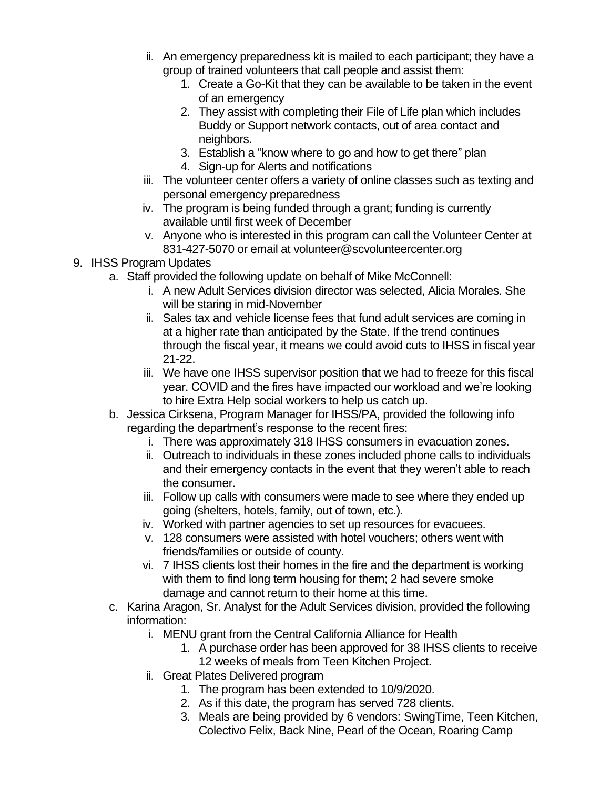- ii. An emergency preparedness kit is mailed to each participant; they have a group of trained volunteers that call people and assist them:
	- 1. Create a Go-Kit that they can be available to be taken in the event of an emergency
	- 2. They assist with completing their File of Life plan which includes Buddy or Support network contacts, out of area contact and neighbors.
	- 3. Establish a "know where to go and how to get there" plan
	- 4. Sign-up for Alerts and notifications
- iii. The volunteer center offers a variety of online classes such as texting and personal emergency preparedness
- iv. The program is being funded through a grant; funding is currently available until first week of December
- v. Anyone who is interested in this program can call the Volunteer Center at 831-427-5070 or email at volunteer@scvolunteercenter.org
- 9. IHSS Program Updates
	- a. Staff provided the following update on behalf of Mike McConnell:
		- i. A new Adult Services division director was selected, Alicia Morales. She will be staring in mid-November
		- ii. Sales tax and vehicle license fees that fund adult services are coming in at a higher rate than anticipated by the State. If the trend continues through the fiscal year, it means we could avoid cuts to IHSS in fiscal year 21-22.
		- iii. We have one IHSS supervisor position that we had to freeze for this fiscal year. COVID and the fires have impacted our workload and we're looking to hire Extra Help social workers to help us catch up.
	- b. Jessica Cirksena, Program Manager for IHSS/PA, provided the following info regarding the department's response to the recent fires:
		- i. There was approximately 318 IHSS consumers in evacuation zones.
		- ii. Outreach to individuals in these zones included phone calls to individuals and their emergency contacts in the event that they weren't able to reach the consumer.
		- iii. Follow up calls with consumers were made to see where they ended up going (shelters, hotels, family, out of town, etc.).
		- iv. Worked with partner agencies to set up resources for evacuees.
		- v. 128 consumers were assisted with hotel vouchers; others went with friends/families or outside of county.
		- vi. 7 IHSS clients lost their homes in the fire and the department is working with them to find long term housing for them; 2 had severe smoke damage and cannot return to their home at this time.
	- c. Karina Aragon, Sr. Analyst for the Adult Services division, provided the following information:
		- i. MENU grant from the Central California Alliance for Health
			- 1. A purchase order has been approved for 38 IHSS clients to receive 12 weeks of meals from Teen Kitchen Project.
		- ii. Great Plates Delivered program
			- 1. The program has been extended to 10/9/2020.
			- 2. As if this date, the program has served 728 clients.
			- 3. Meals are being provided by 6 vendors: SwingTime, Teen Kitchen, Colectivo Felix, Back Nine, Pearl of the Ocean, Roaring Camp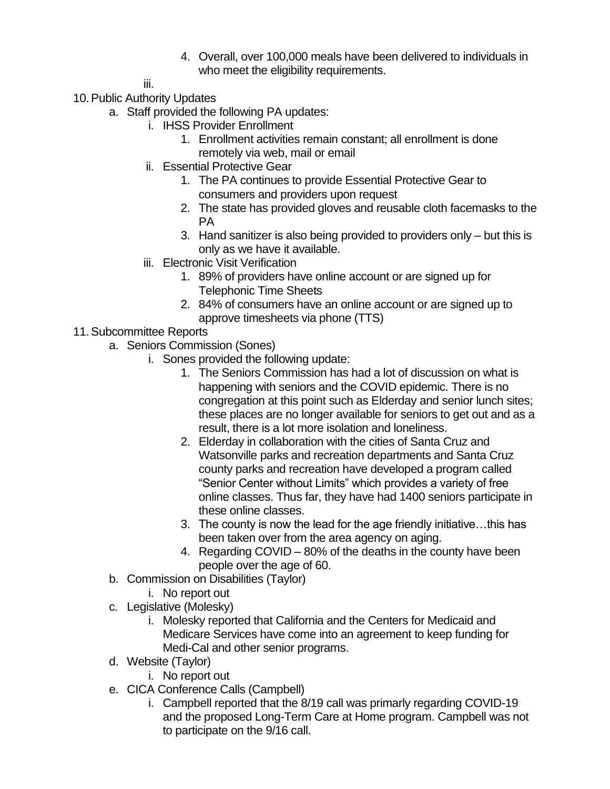4. Overall, over 100,000 meals have been delivered to individuals in who meet the eligibility requirements.

iii.

- 10.Public Authority Updates
	- a. Staff provided the following PA updates:
		- i. IHSS Provider Enrollment
			- 1. Enrollment activities remain constant; all enrollment is done remotely via web, mail or email
		- ii. Essential Protective Gear
			- 1. The PA continues to provide Essential Protective Gear to consumers and providers upon request
			- 2. The state has provided gloves and reusable cloth facemasks to the PA
			- 3. Hand sanitizer is also being provided to providers only but this is only as we have it available.
		- iii. Electronic Visit Verification
			- 1. 89% of providers have online account or are signed up for Telephonic Time Sheets
			- 2. 84% of consumers have an online account or are signed up to approve timesheets via phone (TTS)
- 11.Subcommittee Reports
	- a. Seniors Commission (Sones)
		- i. Sones provided the following update:
			- 1. The Seniors Commission has had a lot of discussion on what is happening with seniors and the COVID epidemic. There is no congregation at this point such as Elderday and senior lunch sites; these places are no longer available for seniors to get out and as a result, there is a lot more isolation and loneliness.
			- 2. Elderday in collaboration with the cities of Santa Cruz and Watsonville parks and recreation departments and Santa Cruz county parks and recreation have developed a program called "Senior Center without Limits" which provides a variety of free online classes. Thus far, they have had 1400 seniors participate in these online classes.
			- 3. The county is now the lead for the age friendly initiative…this has been taken over from the area agency on aging.
			- 4. Regarding COVID 80% of the deaths in the county have been people over the age of 60.
	- b. Commission on Disabilities (Taylor)
		- i. No report out
	- c. Legislative (Molesky)
		- i. Molesky reported that California and the Centers for Medicaid and Medicare Services have come into an agreement to keep funding for Medi-Cal and other senior programs.
	- d. Website (Taylor)
		- i. No report out
	- e. CICA Conference Calls (Campbell)
		- i. Campbell reported that the 8/19 call was primarly regarding COVID-19 and the proposed Long-Term Care at Home program. Campbell was not to participate on the 9/16 call.